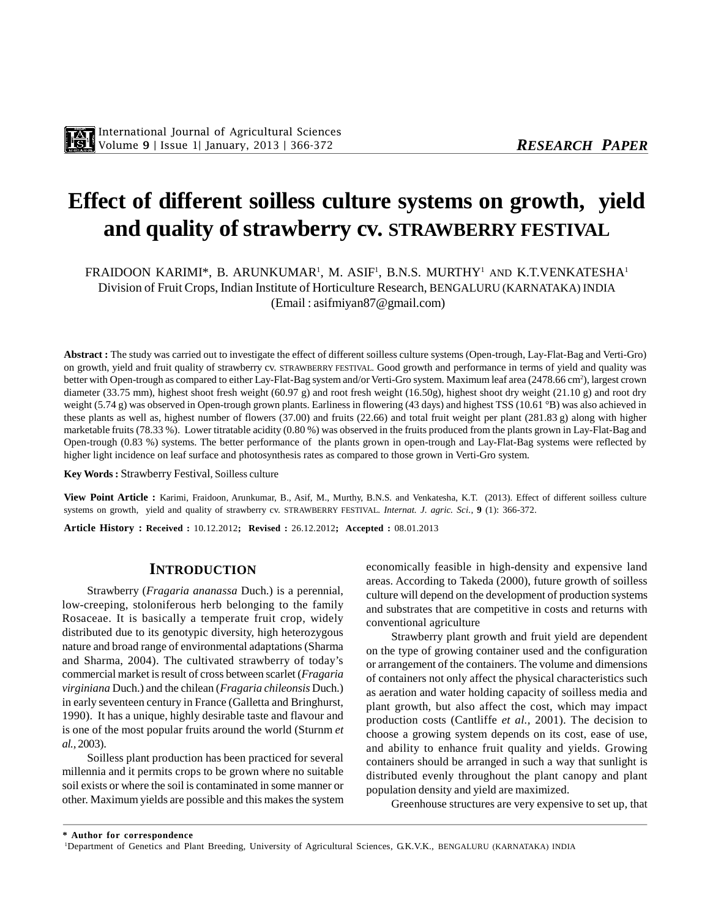# **Effect of different soilless culture systems on growth, yield and quality of strawberry cv. STRAWBERRY FESTIVAL**

FRAIDOON KARIMI\*, B. ARUNKUMAR<sup>1</sup>, M. ASIF<sup>1</sup>, B.N.S. MURTHY<sup>1</sup> and K.T.VENKATESHA<sup>1</sup> Division of Fruit Crops, Indian Institute of Horticulture Research, BENGALURU (KARNATAKA) INDIA (Email : asifmiyan87@gmail.com)

**Abstract :** The study was carried out to investigate the effect of different soilless culture systems (Open-trough, Lay-Flat-Bag and Verti-Gro) on growth, yield and fruit quality of strawberry cv. STRAWBERRY FESTIVAL. Good growth and performance in terms of yield and quality was better with Open-trough as compared to either Lay-Flat-Bag system and/or Verti-Gro system. Maximum leaf area (2478.66 cm<sup>2</sup>), largest crown diameter (33.75 mm), highest shoot fresh weight (60.97 g) and root fresh weight (16.50g), highest shoot dry weight (21.10 g) and root dry weight (5.74 g) was observed in Open-trough grown plants. Earliness in flowering (43 days) and highest TSS (10.61 °B) was also achieved in these plants as well as, highest number of flowers (37.00) and fruits (22.66) and total fruit weight per plant (281.83 g) along with higher marketable fruits (78.33 %). Lower titratable acidity (0.80 %) was observed in the fruits produced from the plants grown in Lay-Flat-Bag and Open-trough (0.83 %) systems. The better performance of the plants grown in open-trough and Lay-Flat-Bag systems were reflected by higher light incidence on leaf surface and photosynthesis rates as compared to those grown in Verti-Gro system.

**Key Words :** Strawberry Festival, Soilless culture

**View Point Article :** Karimi, Fraidoon, Arunkumar, B., Asif, M., Murthy, B.N.S. and Venkatesha, K.T. (2013). Effect of different soilless culture systems on growth, yield and quality of strawberry cv. STRAWBERRY FESTIVAL. *Internat. J. agric. Sci.*, **9** (1): 366-372.

**Article History : Received :** 10.12.2012**; Revised :** 26.12.2012**; Accepted :** 08.01.2013

# **INTRODUCTION**

Strawberry (*Fragaria ananassa* Duch.) is a perennial, low-creeping, stoloniferous herb belonging to the family Rosaceae. It is basically a temperate fruit crop, widely distributed due to its genotypic diversity, high heterozygous nature and broad range of environmental adaptations (Sharma and Sharma, 2004). The cultivated strawberry of today's commercial market is result of cross between scarlet (*Fragaria virginiana* Duch.) and the chilean (*Fragaria chileonsis* Duch.) in early seventeen century in France (Galletta and Bringhurst, 1990). It has a unique, highly desirable taste and flavour and is one of the most popular fruits around the world (Sturnm *et al.,* 2003).

Soilless plant production has been practiced for several millennia and it permits crops to be grown where no suitable soil exists or where the soil is contaminated in some manner or other. Maximum yields are possible and this makes the system economically feasible in high-density and expensive land areas. According to Takeda (2000), future growth of soilless culture will depend on the development of production systems and substrates that are competitive in costs and returns with conventional agriculture

Strawberry plant growth and fruit yield are dependent on the type of growing container used and the configuration or arrangement of the containers. The volume and dimensions of containers not only affect the physical characteristics such as aeration and water holding capacity of soilless media and plant growth, but also affect the cost, which may impact production costs (Cantliffe *et al.,* 2001). The decision to choose a growing system depends on its cost, ease of use, and ability to enhance fruit quality and yields. Growing containers should be arranged in such a way that sunlight is distributed evenly throughout the plant canopy and plant population density and yield are maximized.

Greenhouse structures are very expensive to set up, that

**\* Author for correspondence**

<sup>1</sup>Department of Genetics and Plant Breeding, University of Agricultural Sciences, G.K.V.K., BENGALURU (KARNATAKA) INDIA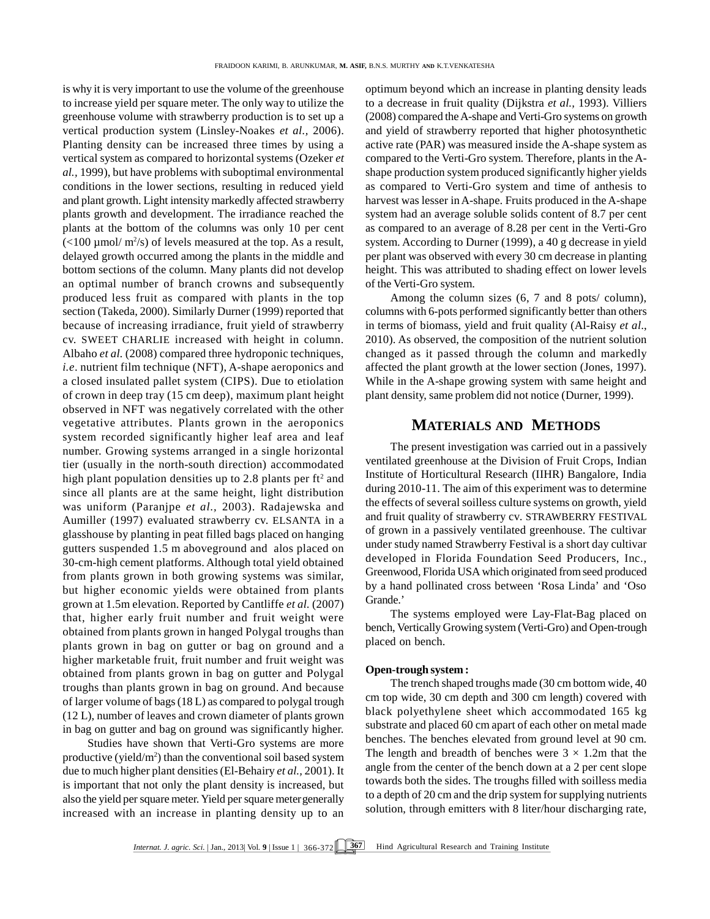is why it is very important to use the volume of the greenhouse to increase yield per square meter. The only way to utilize the greenhouse volume with strawberry production is to set up a vertical production system (Linsley-Noakes *et al.,* 2006). Planting density can be increased three times by using a vertical system as compared to horizontal systems (Ozeker *et al.,* 1999), but have problems with suboptimal environmental conditions in the lower sections, resulting in reduced yield and plant growth. Light intensity markedly affected strawberry plants growth and development. The irradiance reached the plants at the bottom of the columns was only 10 per cent  $\left($  <100  $\mu$  mol/ m<sup>2</sup>/s) of levels measured at the top. As a result, delayed growth occurred among the plants in the middle and bottom sections of the column. Many plants did not develop an optimal number of branch crowns and subsequently produced less fruit as compared with plants in the top section (Takeda, 2000). Similarly Durner (1999) reported that because of increasing irradiance, fruit yield of strawberry cv. SWEET CHARLIE increased with height in column. Albaho *et al.* (2008) compared three hydroponic techniques, *i.e*. nutrient film technique (NFT), A-shape aeroponics and a closed insulated pallet system (CIPS). Due to etiolation of crown in deep tray (15 cm deep), maximum plant height observed in NFT was negatively correlated with the other vegetative attributes. Plants grown in the aeroponics system recorded significantly higher leaf area and leaf number. Growing systems arranged in a single horizontal tier (usually in the north-south direction) accommodated high plant population densities up to 2.8 plants per  $ft^2$  and  $\qquad$  Insti since all plants are at the same height, light distribution was uniform (Paranjpe *et al.,* 2003). Radajewska and Aumiller (1997) evaluated strawberry cv. ELSANTA in a glasshouse by planting in peat filled bags placed on hanging gutters suspended 1.5 m aboveground and alos placed on 30-cm-high cement platforms. Although total yield obtained from plants grown in both growing systems was similar, but higher economic yields were obtained from plants grown at 1.5m elevation. Reported by Cantliffe *et al.* (2007) that, higher early fruit number and fruit weight were obtained from plants grown in hanged Polygal troughs than plants grown in bag on gutter or bag on ground and a higher marketable fruit, fruit number and fruit weight was obtained from plants grown in bag on gutter and Polygal troughs than plants grown in bag on ground. And because of larger volume of bags (18 L) as compared to polygal trough (12 L), number of leaves and crown diameter of plants grown in bag on gutter and bag on ground was significantly higher.

Studies have shown that Verti-Gro systems are more productive (yield/ $m<sup>2</sup>$ ) than the conventional soil based system due to much higher plant densities (El-Behairy *et al.,* 2001). It is important that not only the plant density is increased, but also the yield per square meter. Yield per square metergenerally increased with an increase in planting density up to an optimum beyond which an increase in planting density leads to a decrease in fruit quality (Dijkstra *et al.,* 1993). Villiers (2008) compared the A-shape and Verti-Gro systems on growth and yield of strawberry reported that higher photosynthetic active rate (PAR) was measured inside the A-shape system as compared to the Verti-Gro system. Therefore, plants in the Ashape production system produced significantly higher yields as compared to Verti-Gro system and time of anthesis to harvest was lesser in A-shape. Fruits produced in the A-shape system had an average soluble solids content of 8.7 per cent as compared to an average of 8.28 per cent in the Verti-Gro system. According to Durner (1999), a 40 g decrease in yield per plant was observed with every 30 cm decrease in planting height. This was attributed to shading effect on lower levels of the Verti-Gro system.

Among the column sizes (6, 7 and 8 pots/ column), columns with 6-pots performed significantly better than others in terms of biomass, yield and fruit quality (Al-Raisy *et al*., 2010). As observed, the composition of the nutrient solution changed as it passed through the column and markedly affected the plant growth at the lower section (Jones, 1997). While in the A-shape growing system with same height and plant density, same problem did not notice (Durner, 1999).

### **MATERIALS AND METHODS**

The present investigation was carried out in a passively ventilated greenhouse at the Division of Fruit Crops, Indian Institute of Horticultural Research (IIHR) Bangalore, India during 2010-11. The aim of this experiment was to determine the effects of several soilless culture systems on growth, yield and fruit quality of strawberry cv*.* STRAWBERRY FESTIVAL of grown in a passively ventilated greenhouse. The cultivar under study named Strawberry Festival is a short day cultivar developed in Florida Foundation Seed Producers, Inc., Greenwood, Florida USA which originated from seed produced by a hand pollinated cross between 'Rosa Linda' and 'Oso Grande.'

The systems employed were Lay-Flat-Bag placed on bench, Vertically Growing system (Verti-Gro) and Open-trough placed on bench.

#### **Open-trough system :**

The trench shaped troughs made (30 cm bottom wide, 40 cm top wide, 30 cm depth and 300 cm length) covered with black polyethylene sheet which accommodated 165 kg substrate and placed 60 cm apart of each other on metal made benches. The benches elevated from ground level at 90 cm. The length and breadth of benches were  $3 \times 1.2$ m that the angle from the center of the bench down at a 2 per cent slope towards both the sides. The troughs filled with soilless media to a depth of 20 cm and the drip system for supplying nutrients solution, through emitters with 8 liter/hour discharging rate,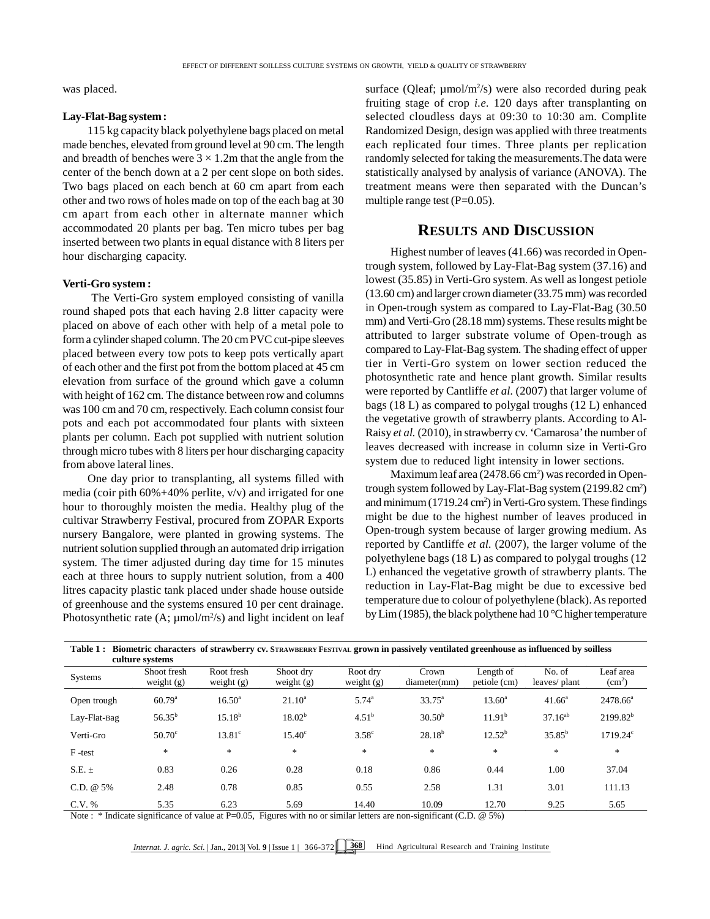was placed.

#### **Lay-Flat-Bag system :**

115 kg capacity black polyethylene bags placed on metal made benches, elevated from ground level at 90 cm. The length and breadth of benches were  $3 \times 1.2$ m that the angle from the center of the bench down at a 2 per cent slope on both sides. Two bags placed on each bench at 60 cm apart from each other and two rows of holes made on top of the each bag at 30 cm apart from each other in alternate manner which accommodated 20 plants per bag. Ten micro tubes per bag inserted between two plants in equal distance with 8 liters per hour discharging capacity.

#### **Verti-Gro system :**

 The Verti-Gro system employed consisting of vanilla round shaped pots that each having 2.8 litter capacity were placed on above of each other with help of a metal pole to form a cylinder shaped column. The 20 cm PVC cut-pipe sleeves placed between every tow pots to keep pots vertically apart of each other and the first pot from the bottom placed at 45 cm elevation from surface of the ground which gave a column with height of 162 cm. The distance between row and columns was 100 cm and 70 cm, respectively. Each column consist four pots and each pot accommodated four plants with sixteen plants per column. Each pot supplied with nutrient solution through micro tubes with 8 liters per hour discharging capacity from above lateral lines.

One day prior to transplanting, all systems filled with media (coir pith  $60\% + 40\%$  perlite, v/v) and irrigated for one hour to thoroughly moisten the media. Healthy plug of the cultivar Strawberry Festival, procured from ZOPAR Exports nursery Bangalore, were planted in growing systems. The nutrient solution supplied through an automated drip irrigation system. The timer adjusted during day time for 15 minutes each at three hours to supply nutrient solution, from a 400 litres capacity plastic tank placed under shade house outside of greenhouse and the systems ensured 10 per cent drainage. Photosynthetic rate (A;  $\mu$ mol/m<sup>2</sup>/s) and light incident on leaf  $\frac{10}{2}$ 

surface (Qleaf;  $\mu$ mol/m<sup>2</sup>/s) were also recorded during peak fruiting stage of crop *i.e.* 120 days after transplanting on selected cloudless days at 09:30 to 10:30 am. Complite Randomized Design, design was applied with three treatments each replicated four times. Three plants per replication randomly selected for taking the measurements.The data were statistically analysed by analysis of variance (ANOVA). The treatment means were then separated with the Duncan's multiple range test  $(P=0.05)$ .

# **RESULTS AND DISCUSSION**

Highest number of leaves (41.66) was recorded in Opentrough system, followed by Lay-Flat-Bag system (37.16) and lowest (35.85) in Verti-Gro system. As well as longest petiole (13.60 cm) and larger crown diameter (33.75 mm) was recorded in Open-trough system as compared to Lay-Flat-Bag (30.50 mm) and Verti-Gro (28.18 mm) systems. These results might be attributed to larger substrate volume of Open-trough as compared to Lay-Flat-Bag system. The shading effect of upper tier in Verti-Gro system on lower section reduced the photosynthetic rate and hence plant growth. Similar results were reported by Cantliffe *et al.* (2007) that larger volume of bags (18 L) as compared to polygal troughs (12 L) enhanced the vegetative growth of strawberry plants. According to Al-Raisy *et al.* (2010), in strawberry cv. 'Camarosa' the number of leaves decreased with increase in column size in Verti-Gro system due to reduced light intensity in lower sections.

Maximum leaf area  $(2478.66 \text{ cm}^2)$  was recorded in Opentrough system followed by Lay-Flat-Bag system (2199.82 cm<sup>2</sup>) and minimum (1719.24 cm<sup>2</sup>) in Verti-Gro system. These findings might be due to the highest number of leaves produced in Open-trough system because of larger growing medium. As reported by Cantliffe *et al.* (2007), the larger volume of the polyethylene bags (18 L) as compared to polygal troughs (12 L) enhanced the vegetative growth of strawberry plants. The reduction in Lay-Flat-Bag might be due to excessive bed temperature due to colour of polyethylene (black). As reported by Lim (1985), the black polythene had 10 °C higher temperature

| Table 1: Biometric characters of strawberry cv. STRAWBERRY FESTIVAL grown in passively ventilated greenhouse as influenced by soilless<br>culture systems |                             |                            |                           |                          |                       |                           |                        |                                 |  |  |  |
|-----------------------------------------------------------------------------------------------------------------------------------------------------------|-----------------------------|----------------------------|---------------------------|--------------------------|-----------------------|---------------------------|------------------------|---------------------------------|--|--|--|
| <b>Systems</b>                                                                                                                                            | Shoot fresh<br>weight $(g)$ | Root fresh<br>weight $(g)$ | Shoot drv<br>weight $(g)$ | Root dry<br>weight $(g)$ | Crown<br>diameter(mm) | Length of<br>petiole (cm) | No. of<br>leaves/plant | Leaf area<br>(cm <sup>2</sup> ) |  |  |  |
| Open trough                                                                                                                                               | $60.79^{\rm a}$             | $16.50^{\circ}$            | $21.10^a$                 | $5.74^{\circ}$           | $33.75^{\circ}$       | $13.60^{\circ}$           | $41.66^{\circ}$        | $2478.66^a$                     |  |  |  |
| Lay-Flat-Bag                                                                                                                                              | $56.35^{b}$                 | $15.18^{b}$                | 18.02 <sup>b</sup>        | $4.51^{\rm b}$           | $30.50^{b}$           | 11.91 <sup>b</sup>        | $37.16^{ab}$           | $2199.82^{b}$                   |  |  |  |
| Verti-Gro                                                                                                                                                 | $50.70^{\circ}$             | $13.81^\circ$              | $15.40^{\circ}$           | 3.58 <sup>c</sup>        | $28.18^{b}$           | $12.52^{\rm b}$           | $35.85^{b}$            | $1719.24^{\circ}$               |  |  |  |
| F-test                                                                                                                                                    | $\ast$                      | $\ast$                     | $*$                       | $\ast$                   | *                     | $*$                       | $*$                    | $*$                             |  |  |  |
| $S.E. \pm$                                                                                                                                                | 0.83                        | 0.26                       | 0.28                      | 0.18                     | 0.86                  | 0.44                      | 1.00                   | 37.04                           |  |  |  |
| C.D. $@5%$                                                                                                                                                | 2.48                        | 0.78                       | 0.85                      | 0.55                     | 2.58                  | 1.31                      | 3.01                   | 111.13                          |  |  |  |
| C.V. %                                                                                                                                                    | 5.35                        | 6.23                       | 5.69                      | 14.40                    | 10.09                 | 12.70                     | 9.25                   | 5.65                            |  |  |  |

Note : \* Indicate significance of value at P=0.05, Figures with no or similar letters are non-significant (C.D. @ 5%)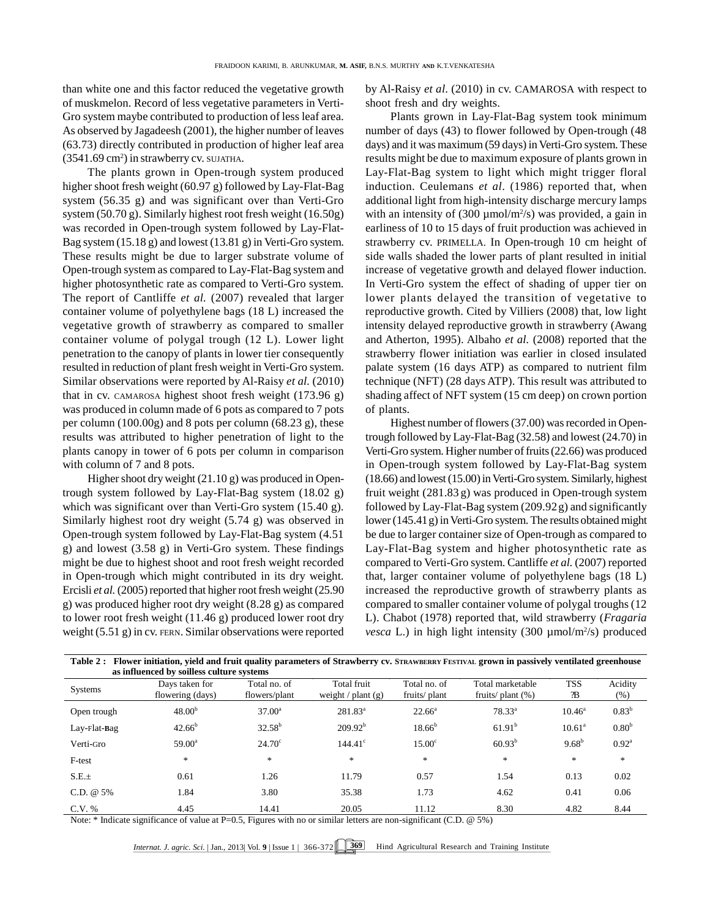than white one and this factor reduced the vegetative growth of muskmelon. Record of less vegetative parameters in Verti-Gro system maybe contributed to production of less leaf area. As observed by Jagadeesh (2001), the higher number of leaves (63.73) directly contributed in production of higher leaf area  $(3541.69 \text{ cm}^2)$  in strawberry cv. SUJATHA.

The plants grown in Open-trough system produced higher shoot fresh weight (60.97 g) followed by Lay-Flat-Bag system (56.35 g) and was significant over than Verti-Gro system (50.70 g). Similarly highest root fresh weight (16.50g) was recorded in Open-trough system followed by Lay-Flat-Bag system (15.18 g) and lowest (13.81 g) in Verti-Gro system. These results might be due to larger substrate volume of Open-trough system as compared to Lay-Flat-Bag system and higher photosynthetic rate as compared to Verti-Gro system. The report of Cantliffe *et al.* (2007) revealed that larger container volume of polyethylene bags (18 L) increased the vegetative growth of strawberry as compared to smaller container volume of polygal trough (12 L). Lower light penetration to the canopy of plants in lower tier consequently resulted in reduction of plant fresh weight in Verti-Gro system. Similar observations were reported by Al-Raisy *et al.* (2010) that in cv. CAMAROSA highest shoot fresh weight (173.96 g) was produced in column made of 6 pots as compared to 7 pots per column (100.00g) and 8 pots per column (68.23 g), these results was attributed to higher penetration of light to the plants canopy in tower of 6 pots per column in comparison with column of 7 and 8 pots.

Higher shoot dry weight (21.10 g) was produced in Opentrough system followed by Lay-Flat-Bag system (18.02 g) which was significant over than Verti-Gro system  $(15.40 \text{ g})$ . Similarly highest root dry weight (5.74 g) was observed in Open-trough system followed by Lay-Flat-Bag system (4.51 g) and lowest (3.58 g) in Verti-Gro system. These findings might be due to highest shoot and root fresh weight recorded in Open-trough which might contributed in its dry weight. Ercisli *et al.* (2005) reported that higher root fresh weight (25.90 g) was produced higher root dry weight (8.28 g) as compared to lower root fresh weight (11.46 g) produced lower root dry weight (5.51 g) in cv. FERN. Similar observations were reported by Al-Raisy *et al*. (2010) in cv. CAMAROSA with respect to shoot fresh and dry weights.

Plants grown in Lay-Flat-Bag system took minimum number of days (43) to flower followed by Open-trough (48 days) and it was maximum (59 days) in Verti-Gro system. These results might be due to maximum exposure of plants grown in Lay-Flat-Bag system to light which might trigger floral induction. Ceulemans *et al*. (1986) reported that, when additional light from high-intensity discharge mercury lamps with an intensity of  $(300 \mu \text{mol/m}^2/\text{s})$  was provided, a gain in earliness of 10 to 15 days of fruit production was achieved in strawberry cv. PRIMELLA. In Open-trough 10 cm height of side walls shaded the lower parts of plant resulted in initial increase of vegetative growth and delayed flower induction. In Verti-Gro system the effect of shading of upper tier on lower plants delayed the transition of vegetative to reproductive growth. Cited by Villiers (2008) that, low light intensity delayed reproductive growth in strawberry (Awang and Atherton, 1995). Albaho *et al.* (2008) reported that the strawberry flower initiation was earlier in closed insulated palate system (16 days ATP) as compared to nutrient film technique (NFT) (28 days ATP). This result was attributed to shading affect of NFT system (15 cm deep) on crown portion of plants.

Highest number of flowers (37.00) was recorded in Opentrough followed by Lay-Flat-Bag (32.58) and lowest (24.70) in Verti-Gro system. Higher number of fruits (22.66) was produced in Open-trough system followed by Lay-Flat-Bag system (18.66) and lowest (15.00) in Verti-Gro system. Similarly, highest fruit weight (281.83 g) was produced in Open-trough system followed by Lay-Flat-Bag system (209.92g) and significantly lower (145.41g) in Verti-Gro system. The results obtained might be due to larger container size of Open-trough as compared to Lay-Flat-Bag system and higher photosynthetic rate as compared to Verti-Gro system. Cantliffe *et al.* (2007) reported that, larger container volume of polyethylene bags (18 L) increased the reproductive growth of strawberry plants as compared to smaller container volume of polygal troughs (12 L). Chabot (1978) reported that, wild strawberry (*Fragaria vesca* L.) in high light intensity (300 µmol/m<sup>2</sup>/s) produced

| Table 2: Flower initiation, yield and fruit quality parameters of Strawberry cv. STRAWBERRY FESTIVAL grown in passively ventilated greenhouse |                                    |                               |                                     |                              |                                        |                 |                   |  |  |  |  |  |
|-----------------------------------------------------------------------------------------------------------------------------------------------|------------------------------------|-------------------------------|-------------------------------------|------------------------------|----------------------------------------|-----------------|-------------------|--|--|--|--|--|
| as influenced by soilless culture systems                                                                                                     |                                    |                               |                                     |                              |                                        |                 |                   |  |  |  |  |  |
| <b>Systems</b>                                                                                                                                | Days taken for<br>flowering (days) | Total no. of<br>flowers/plant | Total fruit<br>weight / plant $(g)$ | Total no. of<br>fruits/plant | Total marketable<br>fruits/ $plan (%)$ | TSS<br>Æ        | Acidity<br>(% )   |  |  |  |  |  |
| Open trough                                                                                                                                   | $48.00^{b}$                        | $37.00^a$                     | $281.83^{\rm a}$                    | $22.66^{\circ}$              | $78.33^{\circ}$                        | $10.46^{\circ}$ | $0.83^{b}$        |  |  |  |  |  |
| $Lay$ -Flat-Bag                                                                                                                               | $42.66^{\circ}$                    | $32.58^{b}$                   | $209.92^b$                          | $18.66^{b}$                  | $61.91^{\rm b}$                        | $10.61^a$       | 0.80 <sup>b</sup> |  |  |  |  |  |
| Verti-Gro                                                                                                                                     | $59.00^{\circ}$                    | $24.70^{\circ}$               | $144.41^{\circ}$                    | 15.00 <sup>c</sup>           | $60.93^{b}$                            | $9.68^{b}$      | $0.92^{\rm a}$    |  |  |  |  |  |
| F-test                                                                                                                                        | *                                  | *                             | *                                   | $\ast$                       | $\frac{1}{2}$                          | $\frac{1}{2}$   | $*$               |  |  |  |  |  |
| S.E.±                                                                                                                                         | 0.61                               | 1.26                          | 11.79                               | 0.57                         | 1.54                                   | 0.13            | 0.02              |  |  |  |  |  |
| C.D. @ 5%                                                                                                                                     | 1.84                               | 3.80                          | 35.38                               | 1.73                         | 4.62                                   | 0.41            | 0.06              |  |  |  |  |  |
| $C.V.$ %                                                                                                                                      | 4.45                               | 14.41                         | 20.05                               | 11.12                        | 8.30                                   | 4.82            | 8.44              |  |  |  |  |  |

Note:  $*$  Indicate significance of value at P=0.5, Figures with no or similar letters are non-significant (C.D.  $@$  5%)

*Internat. J. agric. Sci.* | Jan., 2013| Vol. 9 | Issue 1 | **366-372**  $\sqrt{369}$  Hind Agricultural Research and Training Institute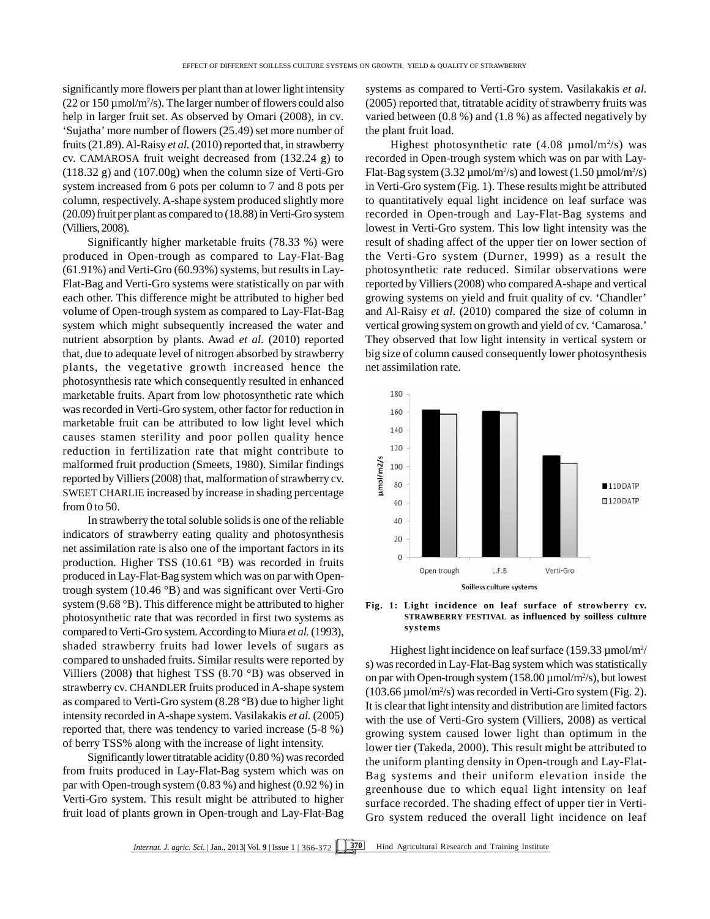significantly more flowers per plant than at lower light intensity  $(22 \text{ or } 150 \,\mu\text{mol/m}^2/\text{s})$ . The larger number of flowers could also  $(200 \text{cm}^2/\text{s})$ help in larger fruit set. As observed by Omari (2008), in cv*.* 'Sujatha' more number of flowers (25.49) set more number of fruits (21.89). Al-Raisy *et al.* (2010) reported that, in strawberry cv. CAMAROSA fruit weight decreased from (132.24 g) to (118.32 g) and (107.00g) when the column size of Verti-Gro system increased from 6 pots per column to 7 and 8 pots per column, respectively. A-shape system produced slightly more (20.09) fruit per plant as compared to (18.88) in Verti-Gro system (Villiers, 2008).

Significantly higher marketable fruits (78.33 %) were produced in Open-trough as compared to Lay-Flat-Bag (61.91%) and Verti-Gro (60.93%) systems, but results in Lay-Flat-Bag and Verti-Gro systems were statistically on par with each other. This difference might be attributed to higher bed volume of Open-trough system as compared to Lay-Flat-Bag system which might subsequently increased the water and nutrient absorption by plants. Awad *et al.* (2010) reported that, due to adequate level of nitrogen absorbed by strawberry plants, the vegetative growth increased hence the photosynthesis rate which consequently resulted in enhanced marketable fruits. Apart from low photosynthetic rate which was recorded in Verti-Gro system, other factor for reduction in marketable fruit can be attributed to low light level which causes stamen sterility and poor pollen quality hence reduction in fertilization rate that might contribute to<br>malformed fruit production (Smeets, 1980). Similar findings<br>reported by Villiers (2008) that, malformation of strawberry cv.<br>sweet CHARL IE increased by increase in malformed fruit production (Smeets, 1980). Similar findings reported by Villiers (2008) that, malformation of strawberry cv. SWEET CHARLIE increased by increase in shading percentage from  $0$  to  $50$ .

In strawberry the total soluble solids is one of the reliable indicators of strawberry eating quality and photosynthesis net assimilation rate is also one of the important factors in its production. Higher TSS (10.61 °B) was recorded in fruits produced in Lay-Flat-Bag system which was on par with Opentrough system (10.46 °B) and was significant over Verti-Gro system (9.68 °B). This difference might be attributed to higher photosynthetic rate that was recorded in first two systems as compared to Verti-Gro system. According to Miura *et al.* (1993), shaded strawberry fruits had lower levels of sugars as compared to unshaded fruits. Similar results were reported by Villiers (2008) that highest TSS (8.70 °B) was observed in strawberry cv. CHANDLER fruits produced in A-shape system as compared to Verti-Gro system (8.28 °B) due to higher light intensity recorded in A-shape system. Vasilakakis *et al.* (2005) reported that, there was tendency to varied increase (5-8 %) of berry TSS% along with the increase of light intensity.

Significantly lower titratable acidity (0.80 %) was recorded from fruits produced in Lay-Flat-Bag system which was on par with Open-trough system (0.83 %) and highest (0.92 %) in Verti-Gro system. This result might be attributed to higher fruit load of plants grown in Open-trough and Lay-Flat-Bag systems as compared to Verti-Gro system. Vasilakakis *et al.* (2005) reported that, titratable acidity of strawberry fruits was varied between (0.8 %) and (1.8 %) as affected negatively by the plant fruit load.

Highest photosynthetic rate  $(4.08 \mu \text{mol/m}^2/\text{s})$  was recorded in Open-trough system which was on par with Lay-Flat-Bag system (3.32  $\mu$ mol/m<sup>2</sup>/s) and lowest (1.50  $\mu$ mol/m<sup>2</sup>/s) in Verti-Gro system (Fig. 1). These results might be attributed to quantitatively equal light incidence on leaf surface was recorded in Open-trough and Lay-Flat-Bag systems and lowest in Verti-Gro system. This low light intensity was the result of shading affect of the upper tier on lower section of the Verti-Gro system (Durner, 1999) as a result the photosynthetic rate reduced. Similar observations were reported by Villiers (2008) who compared A-shape and vertical growing systems on yield and fruit quality of cv. 'Chandler' and Al-Raisy *et al*. (2010) compared the size of column in vertical growing system on growth and yield of cv*.* 'Camarosa.' They observed that low light intensity in vertical system or big size of column caused consequently lower photosynthesis net assimilation rate.



**Fig. 1: Light incidence on leaf surface of strowberry cv. STRAWBERRY FESTIVAL as influenced by soilless culture systems**

Highest light incidence on leaf surface (159.33 µmol/m<sup>2</sup>/ s) was recorded in Lay-Flat-Bag system which was statistically on par with Open-trough system  $(158.00 \,\mu\mathrm{mol/m^2/s})$ , but lowest  $(103.66 \,\mu\text{mol/m}^2/\text{s})$  was recorded in Verti-Gro system (Fig. 2). It is clear that light intensity and distribution are limited factors with the use of Verti-Gro system (Villiers, 2008) as vertical growing system caused lower light than optimum in the lower tier (Takeda, 2000). This result might be attributed to the uniform planting density in Open-trough and Lay-Flat-Bag systems and their uniform elevation inside the greenhouse due to which equal light intensity on leaf surface recorded. The shading effect of upper tier in Verti-Gro system reduced the overall light incidence on leaf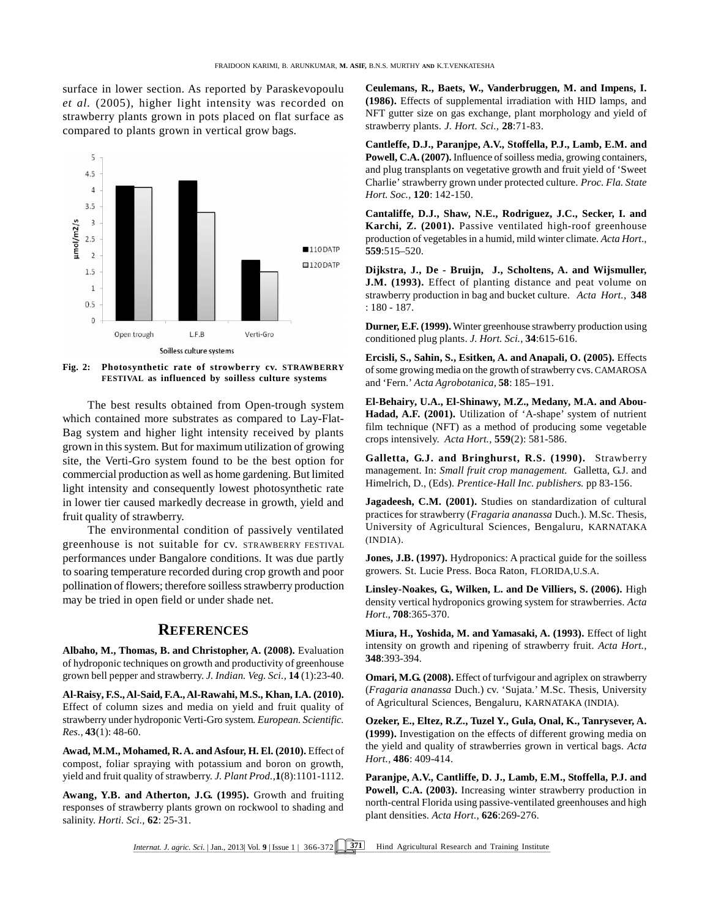surface in lower section. As reported by Paraskevopoulu *et al.* (2005), higher light intensity was recorded on strawberry plants grown in pots placed on flat surface as compared to plants grown in vertical grow bags.



**Fig. 2: Photosynthetic rate of strowberry cv. STRAWBERRY FESTIVAL as influenced by soilless culture systems**

The best results obtained from Open-trough system which contained more substrates as compared to Lay-Flat-Bag system and higher light intensity received by plants grown in this system. But for maximum utilization of growing site, the Verti-Gro system found to be the best option for commercial production as well as home gardening. But limited light intensity and consequently lowest photosynthetic rate in lower tier caused markedly decrease in growth, yield and fruit quality of strawberry.

The environmental condition of passively ventilated greenhouse is not suitable for cv. STRAWBERRY FESTIVAL performances under Bangalore conditions. It was due partly to soaring temperature recorded during crop growth and poor pollination of flowers; therefore soilless strawberry production may be tried in open field or under shade net.

# **REFERENCES**

**Albaho, M., Thomas, B. and Christopher, A. (2008).** Evaluation of hydroponic techniques on growth and productivity of greenhouse grown bell pepper and strawberry. *J. Indian. Veg. Sci.,* **14** (1):23-40.

**Al-Raisy, F.S.,Al-Said, F.A., Al-Rawahi, M.S., Khan, I.A. (2010).** Effect of column sizes and media on yield and fruit quality of strawberry under hydroponic Verti-Gro system*. European. Scientific. Res.,* **43**(1): 48-60.

**Awad, M.M., Mohamed, R. A. and Asfour, H. El. (2010).** Effect of compost, foliar spraying with potassium and boron on growth, yield and fruit quality of strawberry. *J. Plant Prod.,***1**(8):1101-1112.

**Awang, Y.B. and Atherton, J.G. (1995).** Growth and fruiting responses of strawberry plants grown on rockwool to shading and salinity. *Horti. Sci.,* **62**: 25-31.

**Ceulemans, R., Baets, W., Vanderbruggen, M. and Impens, I. (1986).** Effects of supplemental irradiation with HID lamps, and NFT gutter size on gas exchange, plant morphology and yield of strawberry plants. *J. Hort. Sci.,* **28**:71-83.

**Cantleffe, D.J., Paranjpe, A.V., Stoffella, P.J., Lamb, E.M. and Powell, C.A. (2007).** Influence of soilless media, growing containers, and plug transplants on vegetative growth and fruit yield of 'Sweet Charlie' strawberry grown under protected culture. *Proc. Fla. State Hort. Soc.,* **120**: 142-150.

**Cantaliffe, D.J., Shaw, N.E., Rodriguez, J.C., Secker, I. and Karchi, Z. (2001).** Passive ventilated high-roof greenhouse production of vegetables in a humid, mild winter climate*. Acta Hort*., **559**:515–520.

**Dijkstra, J., De - Bruijn, J., Scholtens, A. and Wijsmuller, J.M. (1993).** Effect of planting distance and peat volume on strawberry production in bag and bucket culture. *Acta Hort.,* **348** : 180 - 187.

**Durner, E.F. (1999).** Winter greenhouse strawberry production using conditioned plug plants. *J. Hort. Sci.*, **34**:615-616.

**Ercisli, S., Sahin, S., Esitken, A. and Anapali, O. (2005).** Effects of some growing media on the growth of strawberry cvs. CAMAROSA and 'Fern.' *Acta Agrobotanica,* **58**: 185–191.

**El-Behairy, U.A., El-Shinawy, M.Z., Medany, M.A. and Abou-Hadad, A.F. (2001).** Utilization of 'A-shape' system of nutrient film technique (NFT) as a method of producing some vegetable crops intensively. *Acta Hort.,* **559**(2): 581-586.

**Galletta, G.J. and Bringhurst, R.S. (1990).** Strawberry management. In: *Small fruit crop management.* Galletta, G.J. and Himelrich, D., (Eds)*. Prentice-Hall Inc. publishers.* pp 83-156.

**Jagadeesh, C.M. (2001).** Studies on standardization of cultural practices for strawberry (*Fragaria ananassa* Duch.). M.Sc. Thesis, University of Agricultural Sciences, Bengaluru, KARNATAKA (INDIA).

**Jones, J.B. (1997).** Hydroponics: A practical guide for the soilless growers. St. Lucie Press. Boca Raton, FLORIDA,U.S.A.

**Linsley-Noakes, G., Wilken, L. and De Villiers, S. (2006).** High density vertical hydroponics growing system for strawberries. *Acta Hort*., **708**:365-370.

**Miura, H., Yoshida, M. and Yamasaki, A. (1993).** Effect of light intensity on growth and ripening of strawberry fruit. *Acta Hort.,* **348**:393-394.

**Omari, M.G. (2008).** Effect of turfvigour and agriplex on strawberry (*Fragaria ananassa* Duch.) cv. 'Sujata.' M.Sc. Thesis, University of Agricultural Sciences, Bengaluru, KARNATAKA (INDIA).

**Ozeker, E., Eltez, R.Z., Tuzel Y., Gula, Onal, K., Tanrysever, A. (1999).** Investigation on the effects of different growing media on the yield and quality of strawberries grown in vertical bags. *Acta Hort.,* **486**: 409-414.

**Paranjpe, A.V., Cantliffe, D. J., Lamb, E.M., Stoffella, P.J. and Powell, C.A. (2003).** Increasing winter strawberry production in north-central Florida using passive-ventilated greenhouses and high plant densities. *Acta Hort.,* **626**:269-276.

*Internat. J. agric. Sci.* | Jan., 2013| Vol. 9 | Issue 1 | 366-372  $\sqrt{371}$  Hind Agricultural Research and Training Institute